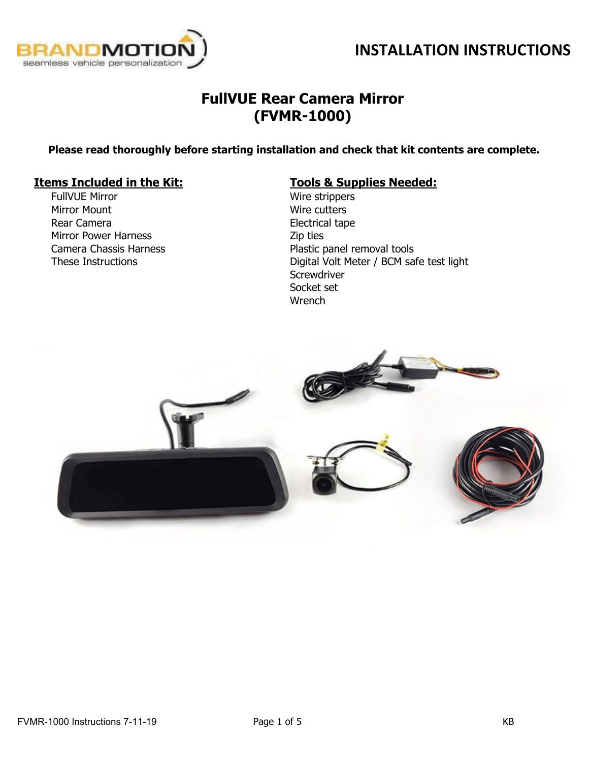



## **FullVUE Rear Camera Mirror (FVMR-1000)**

**Please read thoroughly before starting installation and check that kit contents are complete.**

### **Items Included in the Kit: Tools & Supplies Needed:**

FullVUE Mirror Mirror Mount Rear Camera Mirror Power Harness Camera Chassis Harness These Instructions

Wire strippers Wire cutters Electrical tape Zip ties Plastic panel removal tools Digital Volt Meter / BCM safe test light **Screwdriver** Socket set **Wrench** 

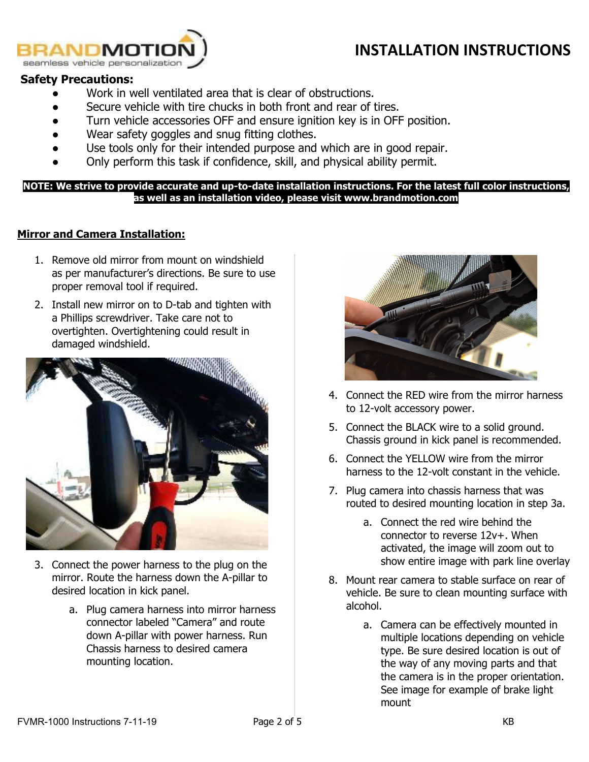

#### **Safety Precautions:**

- Work in well ventilated area that is clear of obstructions.
- Secure vehicle with tire chucks in both front and rear of tires.
- Turn vehicle accessories OFF and ensure ignition key is in OFF position.
- Wear safety goggles and snug fitting clothes.
- Use tools only for their intended purpose and which are in good repair.
- Only perform this task if confidence, skill, and physical ability permit.

NOTE: We strive to provide accurate and up-to-date installation instructions. For the latest full color instructions, **as well as an installation video, please visit www.brandmotion.com**

#### **Mirror and Camera Installation:**

- 1. Remove old mirror from mount on windshield as per manufacturer's directions. Be sure to use proper removal tool if required.
- 2. Install new mirror on to D-tab and tighten with a Phillips screwdriver. Take care not to overtighten. Overtightening could result in damaged windshield.



- 3. Connect the power harness to the plug on the mirror. Route the harness down the A-pillar to desired location in kick panel.
	- a. Plug camera harness into mirror harness connector labeled "Camera" and route down A-pillar with power harness. Run Chassis harness to desired camera mounting location.



- 4. Connect the RED wire from the mirror harness to 12-volt accessory power.
- 5. Connect the BLACK wire to a solid ground. Chassis ground in kick panel is recommended.
- 6. Connect the YELLOW wire from the mirror harness to the 12-volt constant in the vehicle.
- 7. Plug camera into chassis harness that was routed to desired mounting location in step 3a.
	- a. Connect the red wire behind the connector to reverse 12v+. When activated, the image will zoom out to show entire image with park line overlay
- 8. Mount rear camera to stable surface on rear of vehicle. Be sure to clean mounting surface with alcohol.
	- a. Camera can be effectively mounted in multiple locations depending on vehicle type. Be sure desired location is out of the way of any moving parts and that the camera is in the proper orientation. See image for example of brake light mount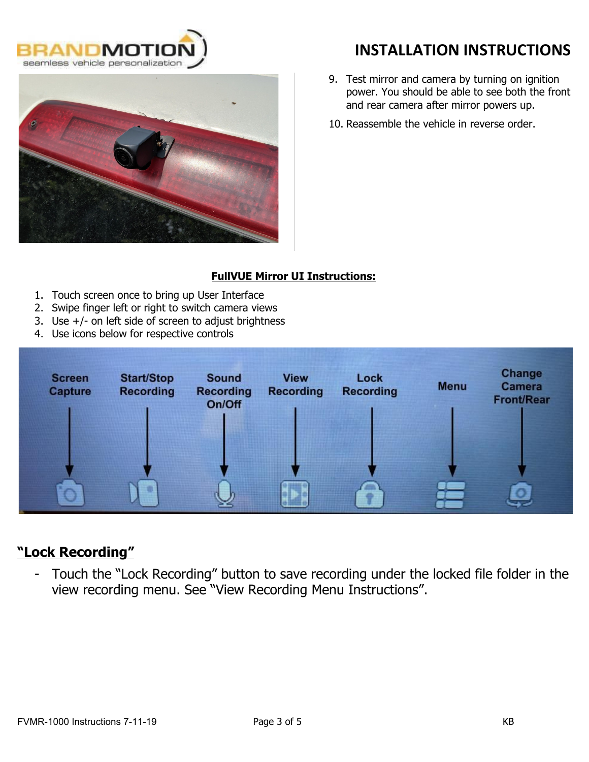



- 9. Test mirror and camera by turning on ignition power. You should be able to see both the front and rear camera after mirror powers up.
- 10. Reassemble the vehicle in reverse order.

### **FullVUE Mirror UI Instructions:**

- 1. Touch screen once to bring up User Interface
- 2. Swipe finger left or right to switch camera views
- 3. Use +/- on left side of screen to adjust brightness
- 4. Use icons below for respective controls



### **"Lock Recording"**

- Touch the "Lock Recording" button to save recording under the locked file folder in the view recording menu. See "View Recording Menu Instructions".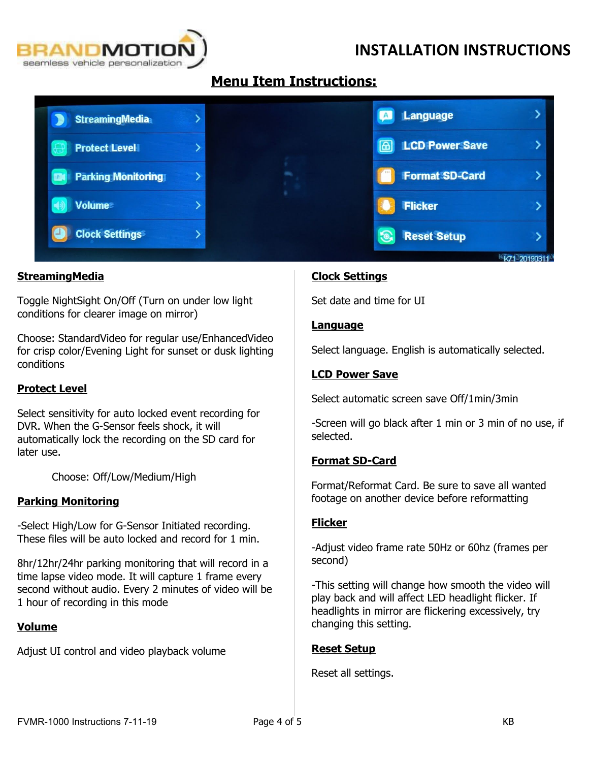

### **Menu Item Instructions:**

| <b>StreamingMedia</b>     |  |  | Language              |                           |
|---------------------------|--|--|-----------------------|---------------------------|
| <b>Protect Level</b>      |  |  | <b>LCD Power Save</b> |                           |
| <b>Parking Monitoring</b> |  |  | <b>Format SD-Card</b> |                           |
| <b>Volume</b>             |  |  | <b>Flicker</b>        |                           |
| <b>Clock Settings</b>     |  |  | <b>Reset Setup</b>    |                           |
|                           |  |  |                       | <b>Library Department</b> |

### **StreamingMedia**

Toggle NightSight On/Off (Turn on under low light conditions for clearer image on mirror)

Choose: StandardVideo for regular use/EnhancedVideo for crisp color/Evening Light for sunset or dusk lighting conditions

#### **Protect Level**

Select sensitivity for auto locked event recording for DVR. When the G-Sensor feels shock, it will automatically lock the recording on the SD card for later use.

Choose: Off/Low/Medium/High

#### **Parking Monitoring**

-Select High/Low for G-Sensor Initiated recording. These files will be auto locked and record for 1 min.

8hr/12hr/24hr parking monitoring that will record in a time lapse video mode. It will capture 1 frame every second without audio. Every 2 minutes of video will be 1 hour of recording in this mode

#### **Volume**

Adjust UI control and video playback volume

#### **Clock Settings**

Set date and time for UI

#### **Language**

Select language. English is automatically selected.

#### **LCD Power Save**

Select automatic screen save Off/1min/3min

-Screen will go black after 1 min or 3 min of no use, if selected.

#### **Format SD-Card**

Format/Reformat Card. Be sure to save all wanted footage on another device before reformatting

#### **Flicker**

-Adjust video frame rate 50Hz or 60hz (frames per second)

-This setting will change how smooth the video will play back and will affect LED headlight flicker. If headlights in mirror are flickering excessively, try changing this setting.

### **Reset Setup**

Reset all settings.